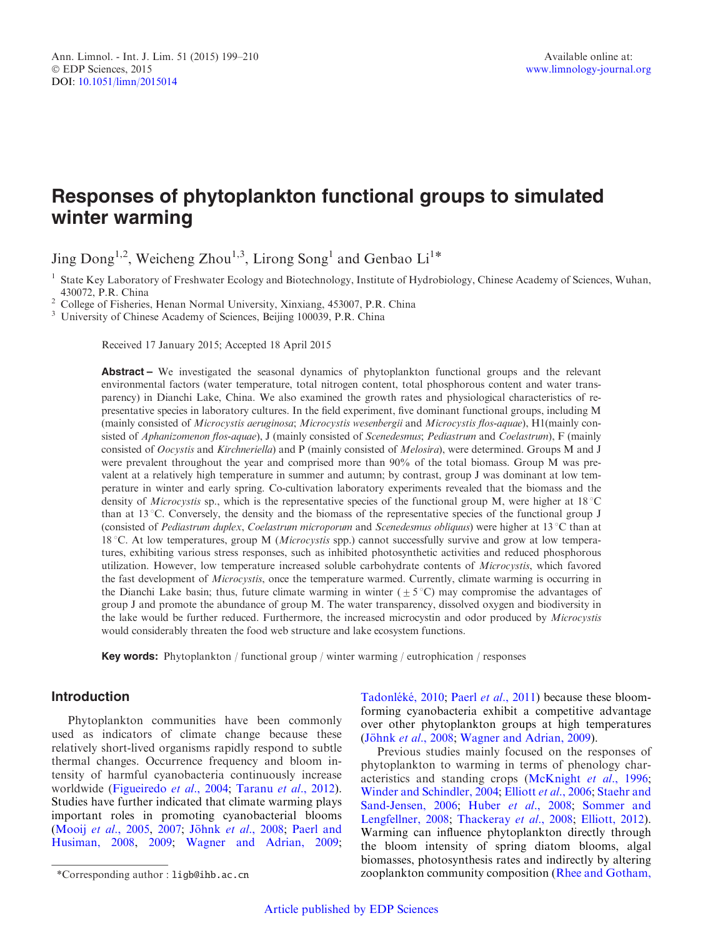# Responses of phytoplankton functional groups to simulated winter warming

Jing Dong<sup>1,2</sup>, Weicheng Zhou<sup>1,3</sup>, Lirong Song<sup>1</sup> and Genbao Li<sup>1\*</sup>

<sup>1</sup> State Key Laboratory of Freshwater Ecology and Biotechnology, Institute of Hydrobiology, Chinese Academy of Sciences, Wuhan, 430072, P.R. China

<sup>2</sup> College of Fisheries, Henan Normal University, Xinxiang, 453007, P.R. China  $\frac{3}{3}$  University of Chinese Academy of Sciences, Beijing 100039, P.R. China

Received 17 January 2015; Accepted 18 April 2015

Abstract – We investigated the seasonal dynamics of phytoplankton functional groups and the relevant environmental factors (water temperature, total nitrogen content, total phosphorous content and water transparency) in Dianchi Lake, China. We also examined the growth rates and physiological characteristics of representative species in laboratory cultures. In the field experiment, five dominant functional groups, including M (mainly consisted of Microcystis aeruginosa; Microcystis wesenbergii and Microcystis flos-aquae), H1(mainly consisted of Aphanizomenon flos-aquae), J (mainly consisted of Scenedesmus; Pediastrum and Coelastrum), F (mainly consisted of Oocystis and Kirchneriella) and P (mainly consisted of Melosira), were determined. Groups M and J were prevalent throughout the year and comprised more than 90% of the total biomass. Group M was prevalent at a relatively high temperature in summer and autumn; by contrast, group J was dominant at low temperature in winter and early spring. Co-cultivation laboratory experiments revealed that the biomass and the density of *Microcystis* sp., which is the representative species of the functional group M, were higher at  $18^{\circ}$ C than at 13 °C. Conversely, the density and the biomass of the representative species of the functional group J (consisted of *Pediastrum duplex, Coelastrum microporum* and *Scenedesmus obliquus*) were higher at  $13^{\circ}$ C than at 18 °C. At low temperatures, group M (*Microcystis* spp.) cannot successfully survive and grow at low temperatures, exhibiting various stress responses, such as inhibited photosynthetic activities and reduced phosphorous utilization. However, low temperature increased soluble carbohydrate contents of Microcystis, which favored the fast development of *Microcystis*, once the temperature warmed. Currently, climate warming is occurring in the Dianchi Lake basin; thus, future climate warming in winter  $(\pm 5^{\circ}C)$  may compromise the advantages of group J and promote the abundance of group M. The water transparency, dissolved oxygen and biodiversity in the lake would be further reduced. Furthermore, the increased microcystin and odor produced by Microcystis would considerably threaten the food web structure and lake ecosystem functions.

Key words: Phytoplankton / functional group / winter warming / eutrophication / responses

# Introduction

Phytoplankton communities have been commonly used as indicators of climate change because these relatively short-lived organisms rapidly respond to subtle thermal changes. Occurrence frequency and bloom intensity of harmful cyanobacteria continuously increase worldwide [\(Figueiredo](#page-10-0) et al., 2004; [Taranu](#page-11-0) et al., 2012). Studies have further indicated that climate warming plays important roles in promoting cyanobacterial blooms (Mooij et al[., 2005,](#page-11-0) [2007;](#page-11-0) Jöhnk et al[., 2008](#page-10-0); [Paerl and](#page-11-0) [Husiman, 2008](#page-11-0), [2009;](#page-11-0) [Wagner and Adrian, 2009;](#page-11-0)

Tadonléké, 2010; Paerl et al[., 2011](#page-11-0)) because these bloomforming cyanobacteria exhibit a competitive advantage over other phytoplankton groups at high temperatures (Jöhnk et al[., 2008](#page-10-0); [Wagner and Adrian, 2009\)](#page-11-0).

Previous studies mainly focused on the responses of phytoplankton to warming in terms of phenology characteristics and standing crops ([McKnight](#page-11-0) et al., 1996; [Winder and Schindler, 2004](#page-11-0); Elliott et al[., 2006](#page-10-0); [Staehr and](#page-11-0) [Sand-Jensen, 2006](#page-11-0); Huber et al[., 2008](#page-10-0); [Sommer and](#page-11-0) [Lengfellner, 2008;](#page-11-0) [Thackeray](#page-11-0) et al., 2008; [Elliott, 2012\)](#page-10-0). Warming can influence phytoplankton directly through the bloom intensity of spring diatom blooms, algal biomasses, photosynthesis rates and indirectly by altering \*Corresponding author : ligb@ihb.ac.cn zooplankton community composition ([Rhee and Gotham,](#page-11-0)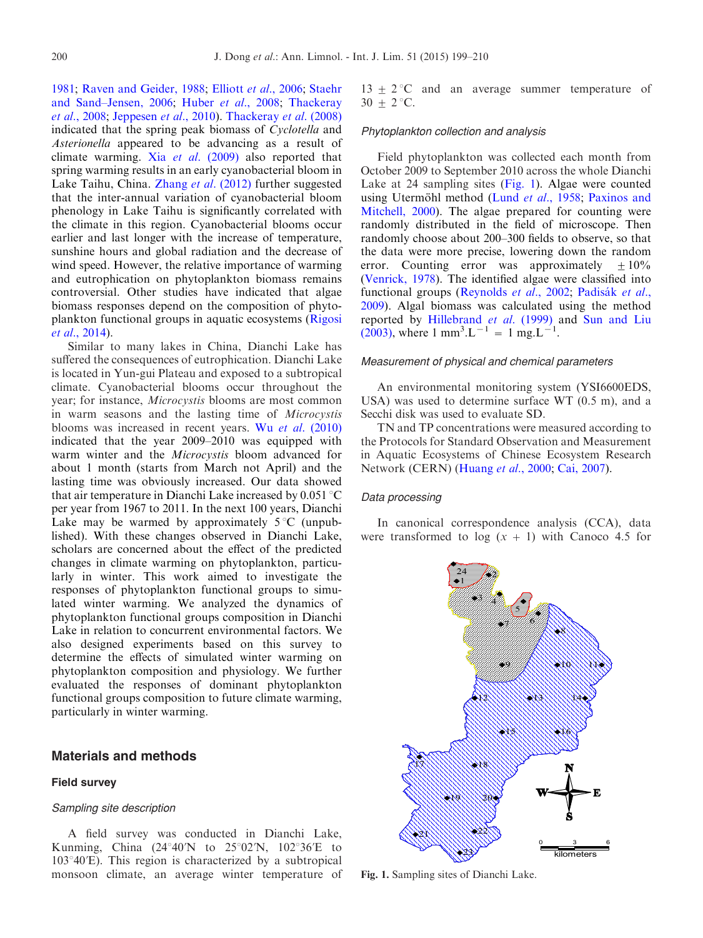[1981](#page-11-0); [Raven and Geider, 1988;](#page-11-0) Elliott et al[., 2006](#page-10-0); [Staehr](#page-11-0) [and Sand–Jensen, 2006](#page-11-0); Huber et al[., 2008;](#page-10-0) [Thackeray](#page-11-0) et al[., 2008;](#page-11-0) [Jeppesen](#page-10-0) et al., 2010). [Thackeray](#page-11-0) et al. (2008) indicated that the spring peak biomass of Cyclotella and Asterionella appeared to be advancing as a result of climate warming. Xia et al[. \(2009\)](#page-11-0) also reported that spring warming results in an early cyanobacterial bloom in Lake Taihu, China. Zhang et al[. \(2012\)](#page-11-0) further suggested that the inter-annual variation of cyanobacterial bloom phenology in Lake Taihu is significantly correlated with the climate in this region. Cyanobacterial blooms occur earlier and last longer with the increase of temperature, sunshine hours and global radiation and the decrease of wind speed. However, the relative importance of warming and eutrophication on phytoplankton biomass remains controversial. Other studies have indicated that algae biomass responses depend on the composition of phytoplankton functional groups in aquatic ecosystems [\(Rigosi](#page-11-0) et al[., 2014\)](#page-11-0).

Similar to many lakes in China, Dianchi Lake has suffered the consequences of eutrophication. Dianchi Lake is located in Yun-gui Plateau and exposed to a subtropical climate. Cyanobacterial blooms occur throughout the year; for instance, Microcystis blooms are most common in warm seasons and the lasting time of Microcystis blooms was increased in recent years. Wu et al[. \(2010\)](#page-11-0) indicated that the year 2009–2010 was equipped with warm winter and the *Microcystis* bloom advanced for about 1 month (starts from March not April) and the lasting time was obviously increased. Our data showed that air temperature in Dianchi Lake increased by  $0.051 \degree C$ per year from 1967 to 2011. In the next 100 years, Dianchi Lake may be warmed by approximately  $5^{\circ}$ C (unpublished). With these changes observed in Dianchi Lake, scholars are concerned about the effect of the predicted changes in climate warming on phytoplankton, particularly in winter. This work aimed to investigate the responses of phytoplankton functional groups to simulated winter warming. We analyzed the dynamics of phytoplankton functional groups composition in Dianchi Lake in relation to concurrent environmental factors. We also designed experiments based on this survey to determine the effects of simulated winter warming on phytoplankton composition and physiology. We further evaluated the responses of dominant phytoplankton functional groups composition to future climate warming, particularly in winter warming.

# Materials and methods

## Field survey

#### Sampling site description

A field survey was conducted in Dianchi Lake, Kunming, China  $(24^{\circ}40^{\circ}\text{N}$  to  $25^{\circ}02^{\circ}\text{N}$ ,  $102^{\circ}36^{\circ}\text{E}$  to  $103°40'E$ ). This region is characterized by a subtropical monsoon climate, an average winter temperature of  $13 \pm 2$  °C and an average summer temperature of  $30 + 2$  °C.

# Phytoplankton collection and analysis

Field phytoplankton was collected each month from October 2009 to September 2010 across the whole Dianchi Lake at 24 sampling sites (Fig. 1). Algae were counted using Utermöhl method (Lund et al[., 1958;](#page-11-0) [Paxinos and](#page-11-0) [Mitchell, 2000\)](#page-11-0). The algae prepared for counting were randomly distributed in the field of microscope. Then randomly choose about 200–300 fields to observe, so that the data were more precise, lowering down the random error. Counting error was approximately  $\pm 10\%$ ([Venrick, 1978](#page-11-0)). The identified algae were classified into functional groups ([Reynolds](#page-11-0) et al., 2002; Padisák et al., [2009\)](#page-11-0). Algal biomass was calculated using the method reported by [Hillebrand](#page-10-0) et al. (1999) and [Sun and Liu](#page-11-0) [\(2003\)](#page-11-0), where 1 mm<sup>3</sup>.L<sup>-1</sup> = 1 mg.L<sup>-1</sup>.

#### Measurement of physical and chemical parameters

An environmental monitoring system (YSI6600EDS, USA) was used to determine surface WT (0.5 m), and a Secchi disk was used to evaluate SD.

TN and TP concentrations were measured according to the Protocols for Standard Observation and Measurement in Aquatic Ecosystems of Chinese Ecosystem Research Network (CERN) ([Huang](#page-10-0) et al., 2000; [Cai, 2007\)](#page-10-0).

#### Data processing

In canonical correspondence analysis (CCA), data were transformed to  $log(x + 1)$  with Canoco 4.5 for



Fig. 1. Sampling sites of Dianchi Lake.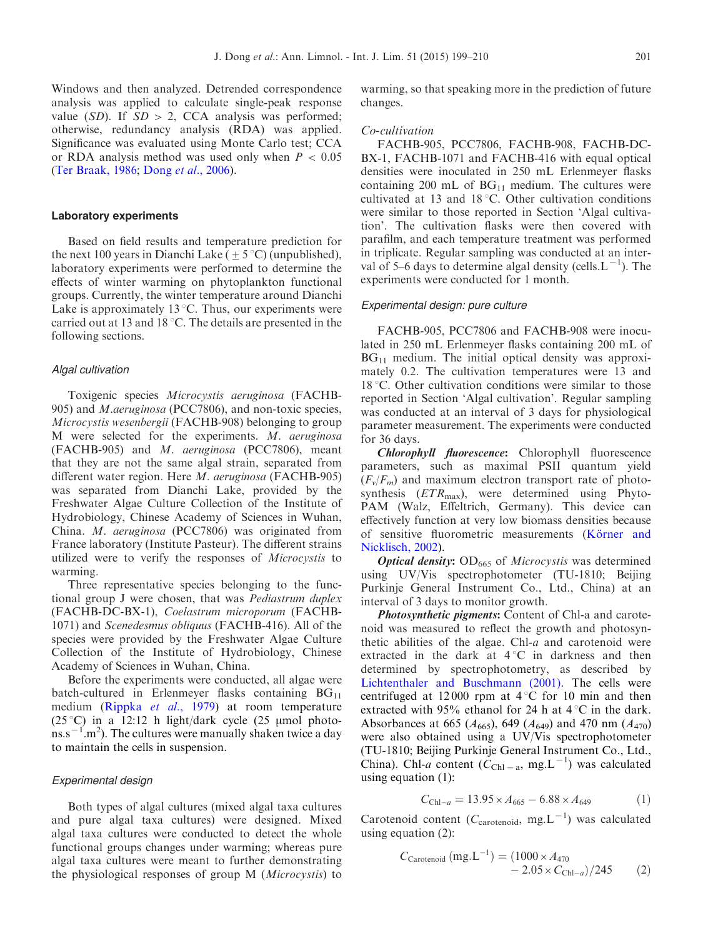Windows and then analyzed. Detrended correspondence analysis was applied to calculate single-peak response value (SD). If  $SD > 2$ , CCA analysis was performed; otherwise, redundancy analysis (RDA) was applied. Significance was evaluated using Monte Carlo test; CCA or RDA analysis method was used only when  $P < 0.05$ ([Ter Braak, 1986;](#page-11-0) Dong et al[., 2006\)](#page-10-0).

#### Laboratory experiments

Based on field results and temperature prediction for the next 100 years in Dianchi Lake ( $\pm$  5 °C) (unpublished), laboratory experiments were performed to determine the effects of winter warming on phytoplankton functional groups. Currently, the winter temperature around Dianchi Lake is approximately 13  $\degree$ C. Thus, our experiments were carried out at 13 and 18  $\degree$ C. The details are presented in the following sections.

#### Algal cultivation

Toxigenic species Microcystis aeruginosa (FACHB-905) and M.aeruginosa (PCC7806), and non-toxic species, Microcystis wesenbergii (FACHB-908) belonging to group M were selected for the experiments. M. aeruginosa (FACHB-905) and M. aeruginosa (PCC7806), meant that they are not the same algal strain, separated from different water region. Here M. aeruginosa (FACHB-905) was separated from Dianchi Lake, provided by the Freshwater Algae Culture Collection of the Institute of Hydrobiology, Chinese Academy of Sciences in Wuhan, China. M. aeruginosa (PCC7806) was originated from France laboratory (Institute Pasteur). The different strains utilized were to verify the responses of Microcystis to warming.

Three representative species belonging to the functional group J were chosen, that was Pediastrum duplex (FACHB-DC-BX-1), Coelastrum microporum (FACHB-1071) and Scenedesmus obliquus (FACHB-416). All of the species were provided by the Freshwater Algae Culture Collection of the Institute of Hydrobiology, Chinese Academy of Sciences in Wuhan, China.

Before the experiments were conducted, all algae were batch-cultured in Erlenmeyer flasks containing  $BG_{11}$ medium [\(Rippka](#page-11-0) et al., 1979) at room temperature (25 °C) in a 12:12 h light/dark cycle (25 µmol photo- $\text{ms.s}^{-1}$  m<sup>2</sup>). The cultures were manually shaken twice a day to maintain the cells in suspension.

#### Experimental design

Both types of algal cultures (mixed algal taxa cultures and pure algal taxa cultures) were designed. Mixed algal taxa cultures were conducted to detect the whole functional groups changes under warming; whereas pure algal taxa cultures were meant to further demonstrating the physiological responses of group M (Microcystis) to

warming, so that speaking more in the prediction of future changes.

#### Co-cultivation

FACHB-905, PCC7806, FACHB-908, FACHB-DC-BX-1, FACHB-1071 and FACHB-416 with equal optical densities were inoculated in 250 mL Erlenmeyer flasks containing 200 mL of  $BG<sub>11</sub>$  medium. The cultures were cultivated at 13 and  $18^{\circ}$ C. Other cultivation conditions were similar to those reported in Section 'Algal cultivation'. The cultivation flasks were then covered with parafilm, and each temperature treatment was performed in triplicate. Regular sampling was conducted at an interval of 5–6 days to determine algal density (cells.  $L^{-1}$ ). The experiments were conducted for 1 month.

#### Experimental design: pure culture

FACHB-905, PCC7806 and FACHB-908 were inoculated in 250 mL Erlenmeyer flasks containing 200 mL of  $BG<sub>11</sub>$  medium. The initial optical density was approximately 0.2. The cultivation temperatures were 13 and  $18 \degree C$ . Other cultivation conditions were similar to those reported in Section 'Algal cultivation'. Regular sampling was conducted at an interval of 3 days for physiological parameter measurement. The experiments were conducted for 36 days.

Chlorophyll fluorescence: Chlorophyll fluorescence parameters, such as maximal PSII quantum yield  $(F_v/F_m)$  and maximum electron transport rate of photosynthesis  $(ETR<sub>max</sub>)$ , were determined using Phyto-PAM (Walz, Effeltrich, Germany). This device can effectively function at very low biomass densities because of sensitive fluorometric measurements (Körner and [Nicklisch, 2002\)](#page-10-0).

**Optical density:** OD<sub>665</sub> of *Microcystis* was determined using UV/Vis spectrophotometer (TU-1810; Beijing Purkinje General Instrument Co., Ltd., China) at an interval of 3 days to monitor growth.

**Photosynthetic pigments:** Content of Chl-a and carotenoid was measured to reflect the growth and photosynthetic abilities of the algae. Chl-a and carotenoid were extracted in the dark at  $4^{\circ}C$  in darkness and then determined by spectrophotometry, as described by [Lichtenthaler and Buschmann \(2001\)](#page-11-0). The cells were centrifuged at 12000 rpm at  $4^{\circ}$ C for 10 min and then extracted with 95% ethanol for 24 h at  $4^{\circ}$ C in the dark. Absorbances at 665 ( $A_{665}$ ), 649 ( $A_{649}$ ) and 470 nm ( $A_{470}$ ) were also obtained using a UV/Vis spectrophotometer (TU-1810; Beijing Purkinje General Instrument Co., Ltd., China). Chl-a content  $(\tilde{C}_{\text{Chl}-a}, \text{mg.L}^{-1})$  was calculated using equation (1):

$$
C_{\text{Chl}-a} = 13.95 \times A_{665} - 6.88 \times A_{649} \tag{1}
$$

Carotenoid content ( $C_{\text{carotenoid}}$ , mg.L<sup>-1</sup>) was calculated using equation (2):

$$
C_{\text{Carotenoid}} \left( \text{mg} . \text{L}^{-1} \right) = (1000 \times A_{470} - 2.05 \times C_{\text{ChI}-a}) / 245 \tag{2}
$$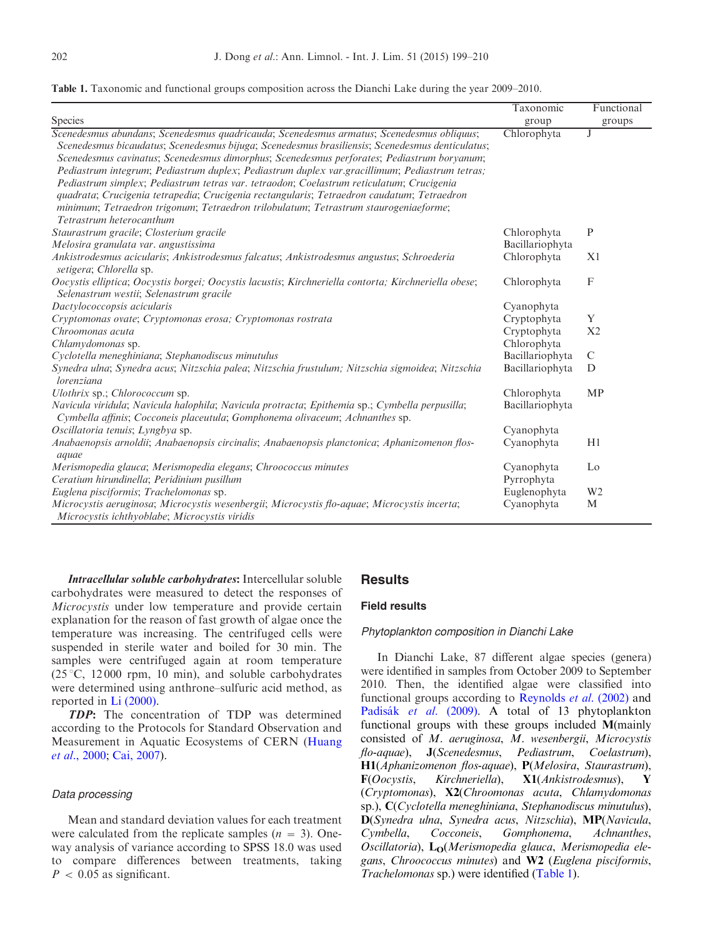|  |  |  |  |  |  | Table 1. Taxonomic and functional groups composition across the Dianchi Lake during the year 2009–2010. |  |  |  |  |  |  |  |  |  |
|--|--|--|--|--|--|---------------------------------------------------------------------------------------------------------|--|--|--|--|--|--|--|--|--|
|--|--|--|--|--|--|---------------------------------------------------------------------------------------------------------|--|--|--|--|--|--|--|--|--|

|                                                                                                                                                                                                                                                                                                                                                                                                                                                                                                                                                                                                                                                                                                           | Taxonomic       | Functional     |
|-----------------------------------------------------------------------------------------------------------------------------------------------------------------------------------------------------------------------------------------------------------------------------------------------------------------------------------------------------------------------------------------------------------------------------------------------------------------------------------------------------------------------------------------------------------------------------------------------------------------------------------------------------------------------------------------------------------|-----------------|----------------|
| Species                                                                                                                                                                                                                                                                                                                                                                                                                                                                                                                                                                                                                                                                                                   | group           | groups         |
| Scenedesmus abundans; Scenedesmus quadricauda; Scenedesmus armatus; Scenedesmus obliquus;<br>Scenedesmus bicaudatus; Scenedesmus bijuga; Scenedesmus brasiliensis; Scenedesmus denticulatus;<br>Scenedesmus cavinatus; Scenedesmus dimorphus; Scenedesmus perforates; Pediastrum boryanum;<br>Pediastrum integrum; Pediastrum duplex; Pediastrum duplex var.gracillimum; Pediastrum tetras;<br>Pediastrum simplex; Pediastrum tetras var. tetraodon; Coelastrum reticulatum; Crucigenia<br>quadrata; Crucigenia tetrapedia; Crucigenia rectangularis; Tetraedron caudatum; Tetraedron<br>minimum; Tetraedron trigonum; Tetraedron trilobulatum; Tetrastrum staurogeniaeforme;<br>Tetrastrum heterocanthum | Chlorophyta     |                |
| Staurastrum gracile; Closterium gracile                                                                                                                                                                                                                                                                                                                                                                                                                                                                                                                                                                                                                                                                   | Chlorophyta     | $\mathbf{P}$   |
| Melosira granulata var. angustissima                                                                                                                                                                                                                                                                                                                                                                                                                                                                                                                                                                                                                                                                      | Bacillariophyta |                |
| Ankistrodesmus acicularis; Ankistrodesmus falcatus; Ankistrodesmus angustus; Schroederia<br>setigera; Chlorella sp.                                                                                                                                                                                                                                                                                                                                                                                                                                                                                                                                                                                       | Chlorophyta     | X <sub>1</sub> |
| Oocystis elliptica; Oocystis borgei; Oocystis lacustis; Kirchneriella contorta; Kirchneriella obese;<br>Selenastrum westii; Selenastrum gracile                                                                                                                                                                                                                                                                                                                                                                                                                                                                                                                                                           | Chlorophyta     | $\mathbf F$    |
| Dactylococcopsis acicularis                                                                                                                                                                                                                                                                                                                                                                                                                                                                                                                                                                                                                                                                               | Cyanophyta      |                |
| Cryptomonas ovate; Cryptomonas erosa; Cryptomonas rostrata                                                                                                                                                                                                                                                                                                                                                                                                                                                                                                                                                                                                                                                | Cryptophyta     | Y              |
| Chroomonas acuta                                                                                                                                                                                                                                                                                                                                                                                                                                                                                                                                                                                                                                                                                          | Cryptophyta     | X <sub>2</sub> |
| Chlamydomonas sp.                                                                                                                                                                                                                                                                                                                                                                                                                                                                                                                                                                                                                                                                                         | Chlorophyta     |                |
| Cyclotella meneghiniana; Stephanodiscus minutulus                                                                                                                                                                                                                                                                                                                                                                                                                                                                                                                                                                                                                                                         | Bacillariophyta | $\mathcal{C}$  |
| Synedra ulna; Synedra acus; Nitzschia palea; Nitzschia frustulum; Nitzschia sigmoidea; Nitzschia<br>lorenziana                                                                                                                                                                                                                                                                                                                                                                                                                                                                                                                                                                                            | Bacillariophyta | D              |
| Ulothrix sp.; Chlorococcum sp.                                                                                                                                                                                                                                                                                                                                                                                                                                                                                                                                                                                                                                                                            | Chlorophyta     | <b>MP</b>      |
| Navicula viridula; Navicula halophila; Navicula protracta; Epithemia sp.; Cymbella perpusilla;<br>Cymbella affinis; Cocconeis placeutula; Gomphonema olivaceum; Achnanthes sp.                                                                                                                                                                                                                                                                                                                                                                                                                                                                                                                            | Bacillariophyta |                |
| Oscillatoria tenuis; Lyngbya sp.                                                                                                                                                                                                                                                                                                                                                                                                                                                                                                                                                                                                                                                                          | Cyanophyta      |                |
| Anabaenopsis arnoldii; Anabaenopsis circinalis; Anabaenopsis planctonica; Aphanizomenon flos-<br>aquae                                                                                                                                                                                                                                                                                                                                                                                                                                                                                                                                                                                                    | Cyanophyta      | H1             |
| Merismopedia glauca; Merismopedia elegans; Chroococcus minutes                                                                                                                                                                                                                                                                                                                                                                                                                                                                                                                                                                                                                                            | Cyanophyta      | Lo             |
| Ceratium hirundinella; Peridinium pusillum                                                                                                                                                                                                                                                                                                                                                                                                                                                                                                                                                                                                                                                                | Pyrrophyta      |                |
| Euglena pisciformis; Trachelomonas sp.                                                                                                                                                                                                                                                                                                                                                                                                                                                                                                                                                                                                                                                                    | Euglenophyta    | W <sub>2</sub> |
| Microcystis aeruginosa; Microcystis wesenbergii; Microcystis flo-aquae; Microcystis incerta;<br>Microcystis ichthyoblabe; Microcystis viridis                                                                                                                                                                                                                                                                                                                                                                                                                                                                                                                                                             | Cyanophyta      | M              |

Intracellular soluble carbohydrates: Intercellular soluble carbohydrates were measured to detect the responses of Microcystis under low temperature and provide certain explanation for the reason of fast growth of algae once the temperature was increasing. The centrifuged cells were suspended in sterile water and boiled for 30 min. The samples were centrifuged again at room temperature  $(25\degree C, 12000$  rpm, 10 min), and soluble carbohydrates were determined using anthrone–sulfuric acid method, as reported in [Li \(2000\)](#page-10-0).

TDP: The concentration of TDP was determined according to the Protocols for Standard Observation and Measurement in Aquatic Ecosystems of CERN ([Huang](#page-10-0) et al[., 2000;](#page-10-0) [Cai, 2007\)](#page-10-0).

### Data processing

Mean and standard deviation values for each treatment were calculated from the replicate samples  $(n = 3)$ . Oneway analysis of variance according to SPSS 18.0 was used to compare differences between treatments, taking  $P < 0.05$  as significant.

# **Results**

## Field results

## Phytoplankton composition in Dianchi Lake

In Dianchi Lake, 87 different algae species (genera) were identified in samples from October 2009 to September 2010. Then, the identified algae were classified into functional groups according to [Reynolds](#page-11-0) et al. (2002) and Padisák et al. (2009). A total of 13 phytoplankton functional groups with these groups included M(mainly consisted of M. aeruginosa, M. wesenbergii, Microcystis flo-aquae), J(Scenedesmus, Pediastrum, Coelastrum), H1(Aphanizomenon flos-aquae), P(Melosira, Staurastrum), F(Oocystis, Kirchneriella), X1(Ankistrodesmus), Y (Cryptomonas), X2(Chroomonas acuta, Chlamydomonas sp.), C(Cyclotella meneghiniana, Stephanodiscus minutulus), D(Synedra ulna, Synedra acus, Nitzschia), MP(Navicula, Cocconeis, Gomphonema, Achnanthes, Oscillatoria),  $L_0$ (Merismopedia glauca, Merismopedia elegans, Chroococcus minutes) and W2 (Euglena pisciformis, Trachelomonas sp.) were identified (Table 1).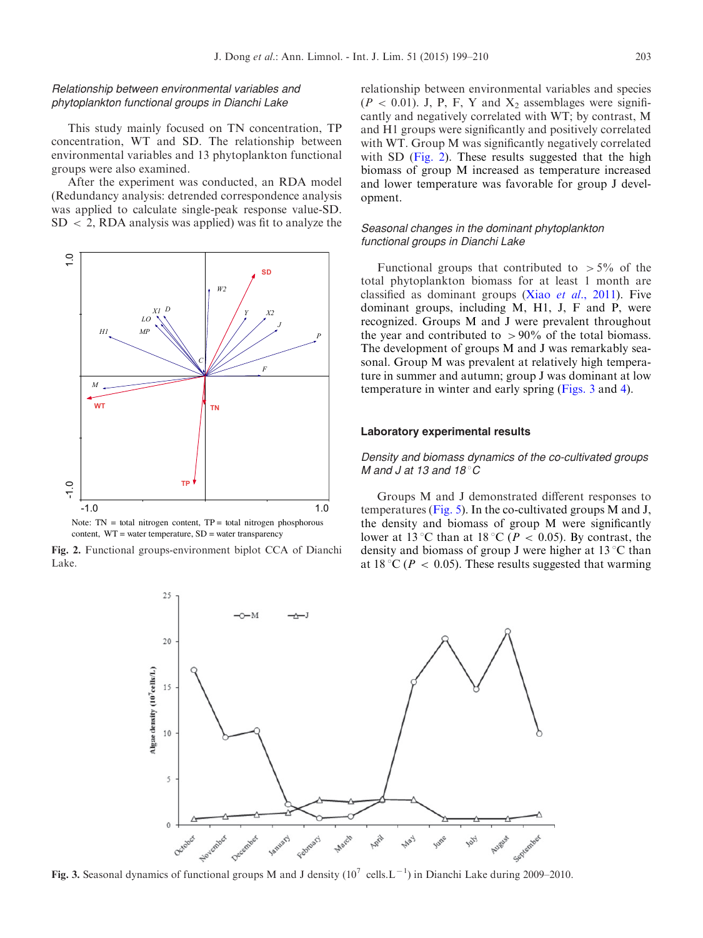### <span id="page-4-0"></span>Relationship between environmental variables and phytoplankton functional groups in Dianchi Lake

This study mainly focused on TN concentration, TP concentration, WT and SD. The relationship between environmental variables and 13 phytoplankton functional groups were also examined.

After the experiment was conducted, an RDA model (Redundancy analysis: detrended correspondence analysis was applied to calculate single-peak response value-SD.  $SD < 2$ , RDA analysis was applied) was fit to analyze the



Note:  $TN = total$  nitrogen content,  $TP = total$  nitrogen phosphorous content,  $WT =$  water temperature,  $SD =$  water transparency

Fig. 2. Functional groups-environment biplot CCA of Dianchi Lake.

relationship between environmental variables and species  $(P < 0.01)$ . J, P, F, Y and X<sub>2</sub> assemblages were significantly and negatively correlated with WT; by contrast, M and H1 groups were significantly and positively correlated with WT. Group M was significantly negatively correlated with SD (Fig. 2). These results suggested that the high biomass of group M increased as temperature increased and lower temperature was favorable for group J development.

# Seasonal changes in the dominant phytoplankton functional groups in Dianchi Lake

Functional groups that contributed to  $>5\%$  of the total phytoplankton biomass for at least 1 month are classified as dominant groups (Xiao et al[., 2011](#page-11-0)). Five dominant groups, including M, H1, J, F and P, were recognized. Groups M and J were prevalent throughout the year and contributed to  $>90\%$  of the total biomass. The development of groups M and J was remarkably seasonal. Group M was prevalent at relatively high temperature in summer and autumn; group J was dominant at low temperature in winter and early spring (Figs. 3 and [4\)](#page-5-0).

## Laboratory experimental results

## Density and biomass dynamics of the co-cultivated groups M and J at 13 and  $18^{\circ}$ C

Groups M and J demonstrated different responses to temperatures ([Fig. 5\)](#page-5-0). In the co-cultivated groups M and J, the density and biomass of group M were significantly lower at 13 °C than at 18 °C ( $P < 0.05$ ). By contrast, the density and biomass of group J were higher at  $13^{\circ}$ C than at 18 °C ( $P < 0.05$ ). These results suggested that warming



Fig. 3. Seasonal dynamics of functional groups M and J density ( $10^7$  cells. L<sup>-1</sup>) in Dianchi Lake during 2009–2010.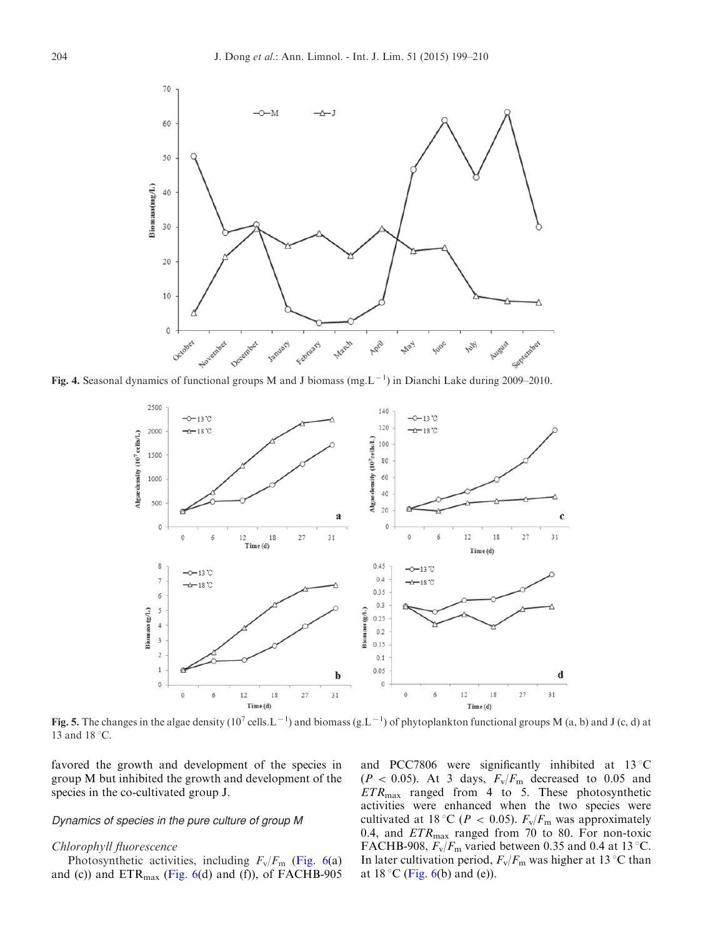<span id="page-5-0"></span>

Fig. 4. Seasonal dynamics of functional groups M and J biomass (mg.  $L^{-1}$ ) in Dianchi Lake during 2009–2010.



Fig. 5. The changes in the algae density (10<sup>7</sup> cells. L<sup>-1</sup>) and biomass (g. L<sup>-1</sup>) of phytoplankton functional groups M (a, b) and J (c, d) at 13 and  $18^{\circ}$ C.

favored the growth and development of the species in group M but inhibited the growth and development of the species in the co-cultivated group J.

### Dynamics of species in the pure culture of group M

#### Chlorophyll fluorescence

Photosynthetic activities, including  $F_v/F_m$  ([Fig. 6](#page-6-0)(a) and (c)) and  $ETR_{max}$  [\(Fig. 6\(](#page-6-0)d) and (f)), of FACHB-905 and PCC7806 were significantly inhibited at  $13^{\circ}$ C  $(P < 0.05)$ . At 3 days,  $F_v/F_m$  decreased to 0.05 and  $ETR<sub>max</sub>$  ranged from 4 to 5. These photosynthetic activities were enhanced when the two species were cultivated at 18 °C ( $P < 0.05$ ).  $F_v/F_m$  was approximately 0.4, and  $ETR_{\text{max}}$  ranged from 70 to 80. For non-toxic FACHB-908,  $F_v/F_m$  varied between 0.35 and 0.4 at 13 °C. In later cultivation period,  $F_v/F_m$  was higher at 13 °C than at  $18 \degree$ C [\(Fig. 6](#page-6-0)(b) and (e)).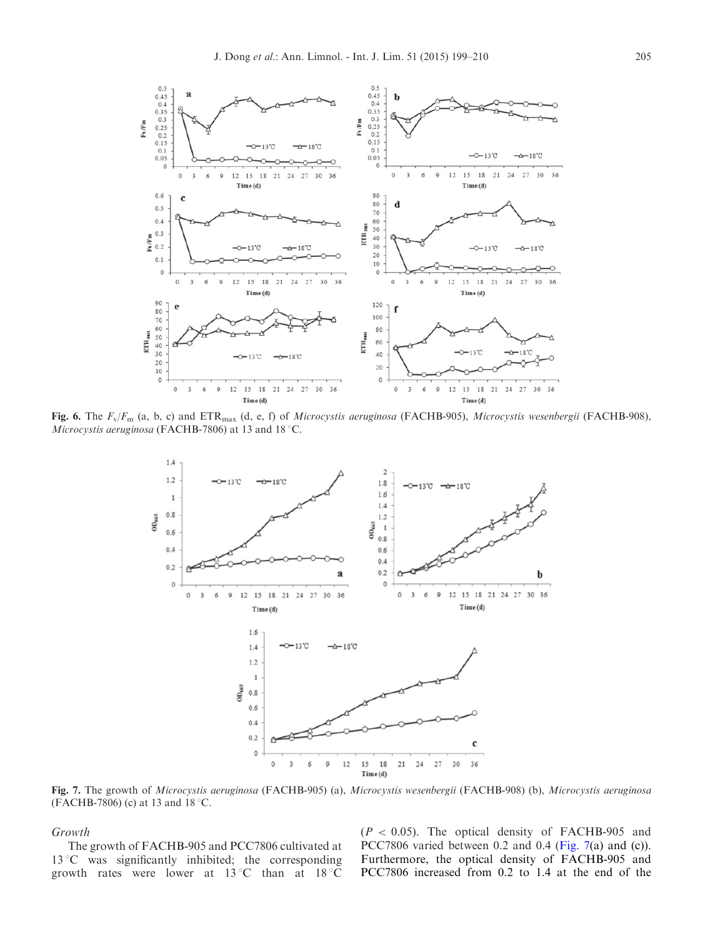<span id="page-6-0"></span>

Fig. 6. The  $F_v/F_m$  (a, b, c) and  $ETR_{max}$  (d, e, f) of Microcystis aeruginosa (FACHB-905), Microcystis wesenbergii (FACHB-908), Microcystis aeruginosa (FACHB-7806) at 13 and 18 °C.



Fig. 7. The growth of Microcystis aeruginosa (FACHB-905) (a), Microcystis wesenbergii (FACHB-908) (b), Microcystis aeruginosa (FACHB-7806) (c) at 13 and  $18^{\circ}$ C.

## Growth

The growth of FACHB-905 and PCC7806 cultivated at  $13^{\circ}$ C was significantly inhibited; the corresponding growth rates were lower at  $13^{\circ}$ C than at  $18^{\circ}$ C  $(P < 0.05)$ . The optical density of FACHB-905 and PCC7806 varied between 0.2 and 0.4 (Fig. 7(a) and (c)). Furthermore, the optical density of FACHB-905 and PCC7806 increased from 0.2 to 1.4 at the end of the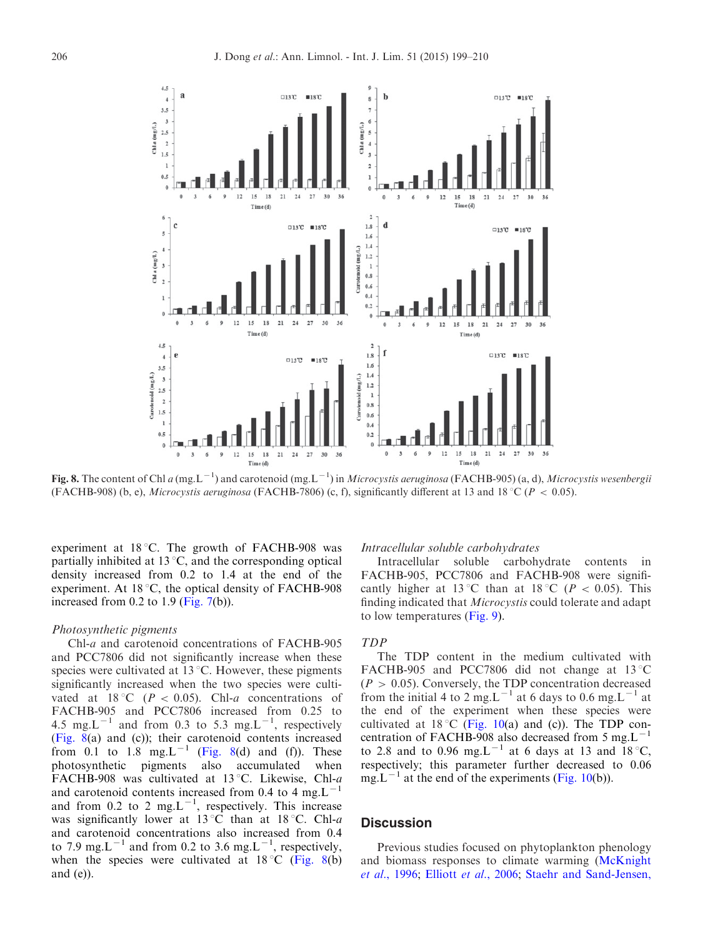

Fig. 8. The content of Chl a (mg.L<sup>-1</sup>) and carotenoid (mg.L<sup>-1</sup>) in Microcystis aeruginosa (FACHB-905) (a, d), Microcystis wesenbergii (FACHB-908) (b, e), Microcystis aeruginosa (FACHB-7806) (c, f), significantly different at 13 and 18 °C ( $P < 0.05$ ).

experiment at  $18^{\circ}$ C. The growth of FACHB-908 was partially inhibited at  $13^{\circ}$ C, and the corresponding optical density increased from 0.2 to 1.4 at the end of the experiment. At  $18\,^{\circ}\text{C}$ , the optical density of FACHB-908 increased from  $0.2$  to  $1.9$  [\(Fig. 7](#page-6-0)(b)).

#### Photosynthetic pigments

Chl-a and carotenoid concentrations of FACHB-905 and PCC7806 did not significantly increase when these species were cultivated at  $13^{\circ}$ C. However, these pigments significantly increased when the two species were cultivated at 18 °C ( $P < 0.05$ ). Chl-a concentrations of FACHB-905 and PCC7806 increased from 0.25 to 4.5 mg.L<sup>-1</sup> and from 0.3 to 5.3 mg.L<sup>-1</sup>, respectively (Fig. 8(a) and (c)); their carotenoid contents increased from  $0.1$  to  $1.8$  mg. L<sup>-1</sup> (Fig. 8(d) and (f)). These photosynthetic pigments also accumulated when FACHB-908 was cultivated at 13 °C. Likewise, Chl-a and carotenoid contents increased from 0.4 to 4 mg. $L^{-1}$ and from 0.2 to 2 mg.L<sup>-1</sup>, respectively. This increase was significantly lower at 13 °C than at 18 °C. Chl-a and carotenoid concentrations also increased from 0.4 to 7.9 mg.L<sup>-1</sup> and from 0.2 to 3.6 mg.L<sup>-1</sup>, respectively, when the species were cultivated at  $18\degree C$  (Fig. 8(b) and  $(e)$ ).

# Intracellular soluble carbohydrates

Intracellular soluble carbohydrate contents in FACHB-905, PCC7806 and FACHB-908 were significantly higher at 13 °C than at 18 °C ( $P < 0.05$ ). This finding indicated that Microcystis could tolerate and adapt to low temperatures ([Fig. 9\)](#page-8-0).

## TDP

The TDP content in the medium cultivated with FACHB-905 and PCC7806 did not change at  $13^{\circ}$ C  $(P > 0.05)$ . Conversely, the TDP concentration decreased from the initial 4 to 2 mg.L<sup>-1</sup> at 6 days to 0.6 mg.L<sup>-1</sup> at the end of the experiment when these species were cultivated at 18 °C ([Fig. 10](#page-8-0)(a) and (c)). The TDP concentration of FACHB-908 also decreased from 5 mg. $L^{-1}$ to 2.8 and to 0.96 mg.L<sup>-1</sup> at 6 days at 13 and 18 °C, respectively; this parameter further decreased to 0.06 mg.L<sup>-1</sup> at the end of the experiments ([Fig. 10\(](#page-8-0)b)).

### **Discussion**

Previous studies focused on phytoplankton phenology and biomass responses to climate warming [\(McKnight](#page-11-0) et al[., 1996;](#page-11-0) Elliott et al[., 2006;](#page-10-0) [Staehr and Sand-Jensen,](#page-11-0)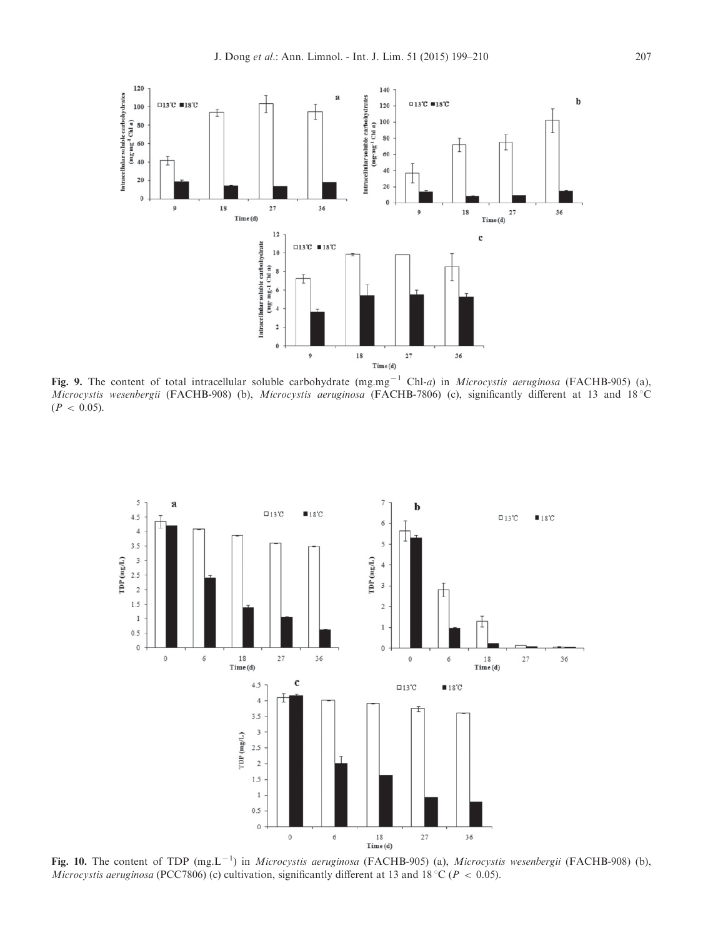<span id="page-8-0"></span>

Fig. 9. The content of total intracellular soluble carbohydrate  $(mg.mg^{-1} Chl-a)$  in Microcystis aeruginosa (FACHB-905) (a), Microcystis wesenbergii (FACHB-908) (b), Microcystis aeruginosa (FACHB-7806) (c), significantly different at 13 and 18 °C  $(P < 0.05)$ .



Fig. 10. The content of TDP  $(mg, L^{-1})$  in *Microcystis aeruginosa* (FACHB-905) (a), *Microcystis wesenbergii* (FACHB-908) (b), *Microcystis aeruginosa* (PCC7806) (c) cultivation, significantly different at 13 and 18 °C ( $P < 0.05$ ).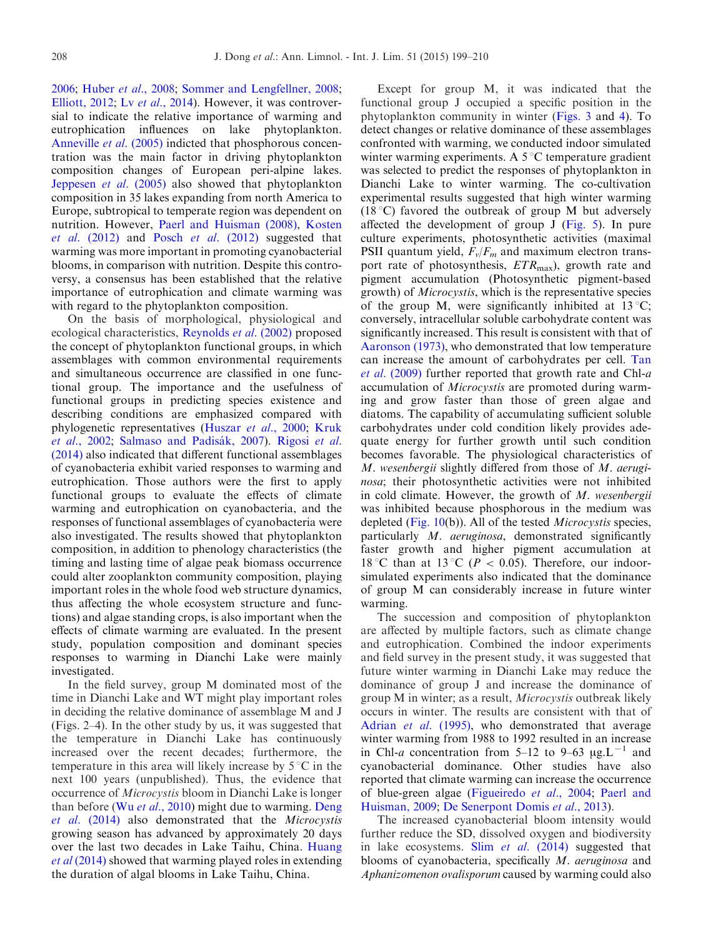[2006](#page-11-0); Huber et al[., 2008](#page-10-0); [Sommer and Lengfellner, 2008;](#page-11-0) [Elliott, 2012](#page-10-0); Lv et al[., 2014\)](#page-11-0). However, it was controversial to indicate the relative importance of warming and eutrophication influences on lake phytoplankton. [Anneville](#page-10-0) *et al.* (2005) indicted that phosphorous concentration was the main factor in driving phytoplankton composition changes of European peri-alpine lakes. [Jeppesen](#page-10-0) et al. (2005) also showed that phytoplankton composition in 35 lakes expanding from north America to Europe, subtropical to temperate region was dependent on nutrition. However, [Paerl and Huisman \(2008\),](#page-11-0) [Kosten](#page-10-0) et al.  $(2012)$  and Posch et al.  $(2012)$  suggested that warming was more important in promoting cyanobacterial blooms, in comparison with nutrition. Despite this controversy, a consensus has been established that the relative importance of eutrophication and climate warming was with regard to the phytoplankton composition.

On the basis of morphological, physiological and ecological characteristics, [Reynolds](#page-11-0) *et al.* (2002) proposed the concept of phytoplankton functional groups, in which assemblages with common environmental requirements and simultaneous occurrence are classified in one functional group. The importance and the usefulness of functional groups in predicting species existence and describing conditions are emphasized compared with phylogenetic representatives [\(Huszar](#page-10-0) et al., 2000; [Kruk](#page-10-0) et al[., 2002;](#page-10-0) Salmaso and Padisák, 2007). [Rigosi](#page-11-0) et al. [\(2014\)](#page-11-0) also indicated that different functional assemblages of cyanobacteria exhibit varied responses to warming and eutrophication. Those authors were the first to apply functional groups to evaluate the effects of climate warming and eutrophication on cyanobacteria, and the responses of functional assemblages of cyanobacteria were also investigated. The results showed that phytoplankton composition, in addition to phenology characteristics (the timing and lasting time of algae peak biomass occurrence could alter zooplankton community composition, playing important roles in the whole food web structure dynamics, thus affecting the whole ecosystem structure and functions) and algae standing crops, is also important when the effects of climate warming are evaluated. In the present study, population composition and dominant species responses to warming in Dianchi Lake were mainly investigated.

In the field survey, group M dominated most of the time in Dianchi Lake and WT might play important roles in deciding the relative dominance of assemblage M and J (Figs. 2–4). In the other study by us, it was suggested that the temperature in Dianchi Lake has continuously increased over the recent decades; furthermore, the temperature in this area will likely increase by  $5^{\circ}$ C in the next 100 years (unpublished). Thus, the evidence that occurrence of Microcystis bloom in Dianchi Lake is longer than before (Wu et al[., 2010\)](#page-11-0) might due to warming. [Deng](#page-10-0) et al. [\(2014\)](#page-10-0) also demonstrated that the Microcystis growing season has advanced by approximately 20 days over the last two decades in Lake Taihu, China. [Huang](#page-10-0) et al [\(2014\)](#page-10-0) showed that warming played roles in extending the duration of algal blooms in Lake Taihu, China.

Except for group M, it was indicated that the functional group J occupied a specific position in the phytoplankton community in winter [\(Figs. 3](#page-4-0) and [4\)](#page-5-0). To detect changes or relative dominance of these assemblages confronted with warming, we conducted indoor simulated winter warming experiments. A  $5^{\circ}$ C temperature gradient was selected to predict the responses of phytoplankton in Dianchi Lake to winter warming. The co-cultivation experimental results suggested that high winter warming (18 °C) favored the outbreak of group M but adversely affected the development of group  $J$  [\(Fig. 5\)](#page-5-0). In pure culture experiments, photosynthetic activities (maximal PSII quantum yield,  $F_v/F_m$  and maximum electron transport rate of photosynthesis,  $ETR<sub>max</sub>$ ), growth rate and pigment accumulation (Photosynthetic pigment-based growth) of Microcystis, which is the representative species of the group M, were significantly inhibited at  $13^{\circ}C$ ; conversely, intracellular soluble carbohydrate content was significantly increased. This result is consistent with that of [Aaronson \(1973\),](#page-10-0) who demonstrated that low temperature can increase the amount of carbohydrates per cell. [Tan](#page-11-0) et al[. \(2009\)](#page-11-0) further reported that growth rate and Chl-a accumulation of Microcystis are promoted during warming and grow faster than those of green algae and diatoms. The capability of accumulating sufficient soluble carbohydrates under cold condition likely provides adequate energy for further growth until such condition becomes favorable. The physiological characteristics of M. wesenbergii slightly differed from those of M. aeruginosa; their photosynthetic activities were not inhibited in cold climate. However, the growth of  $M$ . wesenbergii was inhibited because phosphorous in the medium was depleted [\(Fig. 10\(](#page-8-0)b)). All of the tested Microcystis species, particularly M. aeruginosa, demonstrated significantly faster growth and higher pigment accumulation at 18 °C than at 13 °C ( $P < 0.05$ ). Therefore, our indoorsimulated experiments also indicated that the dominance of group M can considerably increase in future winter warming.

The succession and composition of phytoplankton are affected by multiple factors, such as climate change and eutrophication. Combined the indoor experiments and field survey in the present study, it was suggested that future winter warming in Dianchi Lake may reduce the dominance of group J and increase the dominance of group M in winter; as a result, Microcystis outbreak likely occurs in winter. The results are consistent with that of Adrian *et al.* (1995), who demonstrated that average winter warming from 1988 to 1992 resulted in an increase in Chl-a concentration from 5–12 to 9–63  $\mu$ g.L<sup>-1</sup> and cyanobacterial dominance. Other studies have also reported that climate warming can increase the occurrence of blue-green algae [\(Figueiredo](#page-10-0) et al., 2004; [Paerl and](#page-11-0) [Huisman, 2009;](#page-11-0) [De Senerpont Domis](#page-10-0) et al., 2013).

The increased cyanobacterial bloom intensity would further reduce the SD, dissolved oxygen and biodiversity in lake ecosystems. Slim et al. [\(2014\)](#page-11-0) suggested that blooms of cyanobacteria, specifically M. aeruginosa and Aphanizomenon ovalisporum caused by warming could also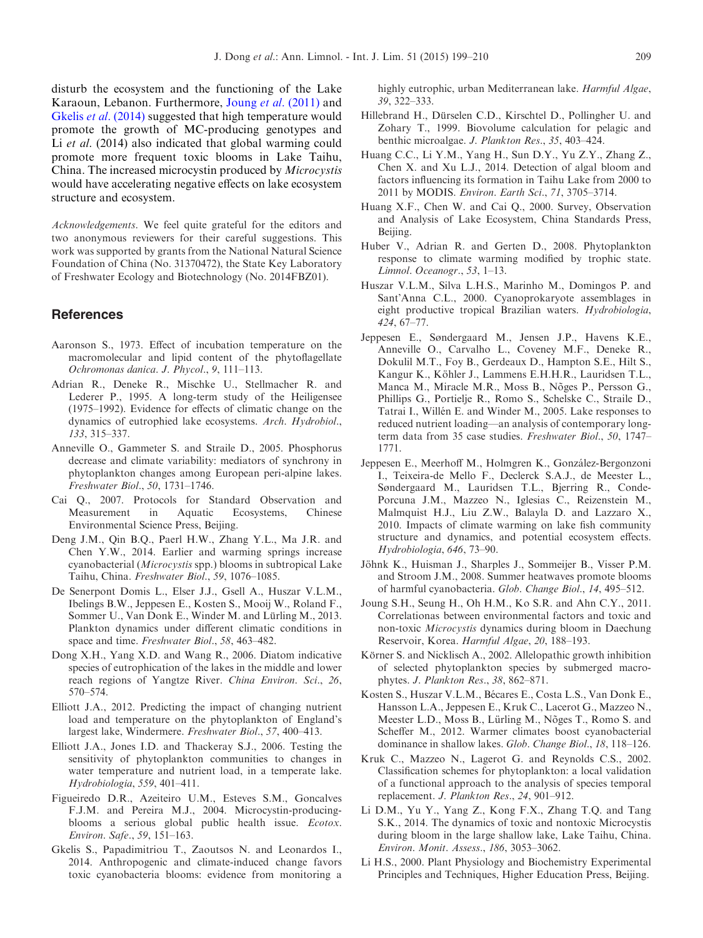<span id="page-10-0"></span>disturb the ecosystem and the functioning of the Lake Karaoun, Lebanon. Furthermore, Joung et al. (2011) and Gkelis et al. (2014) suggested that high temperature would promote the growth of MC-producing genotypes and Li *et al.* (2014) also indicated that global warming could promote more frequent toxic blooms in Lake Taihu, China. The increased microcystin produced by Microcystis would have accelerating negative effects on lake ecosystem structure and ecosystem.

Acknowledgements. We feel quite grateful for the editors and two anonymous reviewers for their careful suggestions. This work was supported by grants from the National Natural Science Foundation of China (No. 31370472), the State Key Laboratory of Freshwater Ecology and Biotechnology (No. 2014FBZ01).

## References

- Aaronson S., 1973. Effect of incubation temperature on the macromolecular and lipid content of the phytoflagellate Ochromonas danica. J. Phycol., 9, 111–113.
- Adrian R., Deneke R., Mischke U., Stellmacher R. and Lederer P., 1995. A long-term study of the Heiligensee (1975–1992). Evidence for effects of climatic change on the dynamics of eutrophied lake ecosystems. Arch. Hydrobiol., 133, 315–337.
- Anneville O., Gammeter S. and Straile D., 2005. Phosphorus decrease and climate variability: mediators of synchrony in phytoplankton changes among European peri-alpine lakes. Freshwater Biol., 50, 1731–1746.
- Cai Q., 2007. Protocols for Standard Observation and Measurement in Aquatic Ecosystems, Chinese Environmental Science Press, Beijing.
- Deng J.M., Qin B.Q., Paerl H.W., Zhang Y.L., Ma J.R. and Chen Y.W., 2014. Earlier and warming springs increase cyanobacterial (Microcystis spp.) blooms in subtropical Lake Taihu, China. Freshwater Biol., 59, 1076–1085.
- De Senerpont Domis L., Elser J.J., Gsell A., Huszar V.L.M., Ibelings B.W., Jeppesen E., Kosten S., Mooij W., Roland F., Sommer U., Van Donk E., Winder M. and Lürling M., 2013. Plankton dynamics under different climatic conditions in space and time. Freshwater Biol., 58, 463–482.
- Dong X.H., Yang X.D. and Wang R., 2006. Diatom indicative species of eutrophication of the lakes in the middle and lower reach regions of Yangtze River. China Environ. Sci., 26, 570–574.
- Elliott J.A., 2012. Predicting the impact of changing nutrient load and temperature on the phytoplankton of England's largest lake, Windermere. Freshwater Biol., 57, 400–413.
- Elliott J.A., Jones I.D. and Thackeray S.J., 2006. Testing the sensitivity of phytoplankton communities to changes in water temperature and nutrient load, in a temperate lake. Hydrobiologia, 559, 401–411.
- Figueiredo D.R., Azeiteiro U.M., Esteves S.M., Goncalves F.J.M. and Pereira M.J., 2004. Microcystin-producingblooms a serious global public health issue. Ecotox. Environ. Safe., 59, 151–163.
- Gkelis S., Papadimitriou T., Zaoutsos N. and Leonardos I., 2014. Anthropogenic and climate-induced change favors toxic cyanobacteria blooms: evidence from monitoring a

highly eutrophic, urban Mediterranean lake. Harmful Algae, 39, 322–333.

- Hillebrand H., Dürselen C.D., Kirschtel D., Pollingher U. and Zohary T., 1999. Biovolume calculation for pelagic and benthic microalgae. J. Plankton Res., 35, 403–424.
- Huang C.C., Li Y.M., Yang H., Sun D.Y., Yu Z.Y., Zhang Z., Chen X. and Xu L.J., 2014. Detection of algal bloom and factors influencing its formation in Taihu Lake from 2000 to 2011 by MODIS. Environ. Earth Sci., 71, 3705–3714.
- Huang X.F., Chen W. and Cai Q., 2000. Survey, Observation and Analysis of Lake Ecosystem, China Standards Press, Beijing.
- Huber V., Adrian R. and Gerten D., 2008. Phytoplankton response to climate warming modified by trophic state. Limnol. Oceanogr., 53, 1–13.
- Huszar V.L.M., Silva L.H.S., Marinho M., Domingos P. and Sant'Anna C.L., 2000. Cyanoprokaryote assemblages in eight productive tropical Brazilian waters. Hydrobiologia, 424, 67–77.
- Jeppesen E., Søndergaard M., Jensen J.P., Havens K.E., Anneville O., Carvalho L., Coveney M.F., Deneke R., Dokulil M.T., Foy B., Gerdeaux D., Hampton S.E., Hilt S., Kangur K., Köhler J., Lammens E.H.H.R., Lauridsen T.L., Manca M., Miracle M.R., Moss B., Nõges P., Persson G., Phillips G., Portielje R., Romo S., Schelske C., Straile D., Tatrai I., Willén E. and Winder M., 2005. Lake responses to reduced nutrient loading—an analysis of contemporary longterm data from 35 case studies. Freshwater Biol., 50, 1747– 1771.
- Jeppesen E., Meerhoff M., Holmgren K., González-Bergonzoni I., Teixeira-de Mello F., Declerck S.A.J., de Meester L., Søndergaard M., Lauridsen T.L., Bjerring R., Conde-Porcuna J.M., Mazzeo N., Iglesias C., Reizenstein M., Malmquist H.J., Liu Z.W., Balayla D. and Lazzaro X., 2010. Impacts of climate warming on lake fish community structure and dynamics, and potential ecosystem effects. Hydrobiologia, 646, 73–90.
- Jöhnk K., Huisman J., Sharples J., Sommeijer B., Visser P.M. and Stroom J.M., 2008. Summer heatwaves promote blooms of harmful cyanobacteria. Glob. Change Biol., 14, 495–512.
- Joung S.H., Seung H., Oh H.M., Ko S.R. and Ahn C.Y., 2011. Correlationas between environmental factors and toxic and non-toxic Microcystis dynamics during bloom in Daechung Reservoir, Korea. Harmful Algae, 20, 188–193.
- Körner S. and Nicklisch A., 2002. Allelopathic growth inhibition of selected phytoplankton species by submerged macrophytes. J. Plankton Res., 38, 862–871.
- Kosten S., Huszar V.L.M., Bécares E., Costa L.S., Van Donk E., Hansson L.A., Jeppesen E., Kruk C., Lacerot G., Mazzeo N., Meester L.D., Moss B., Lürling M., Nõges T., Romo S. and Scheffer M., 2012. Warmer climates boost cyanobacterial dominance in shallow lakes. Glob. Change Biol., 18, 118–126.
- Kruk C., Mazzeo N., Lagerot G. and Reynolds C.S., 2002. Classification schemes for phytoplankton: a local validation of a functional approach to the analysis of species temporal replacement. J. Plankton Res., 24, 901–912.
- Li D.M., Yu Y., Yang Z., Kong F.X., Zhang T.Q. and Tang S.K., 2014. The dynamics of toxic and nontoxic Microcystis during bloom in the large shallow lake, Lake Taihu, China. Environ. Monit. Assess., 186, 3053–3062.
- Li H.S., 2000. Plant Physiology and Biochemistry Experimental Principles and Techniques, Higher Education Press, Beijing.